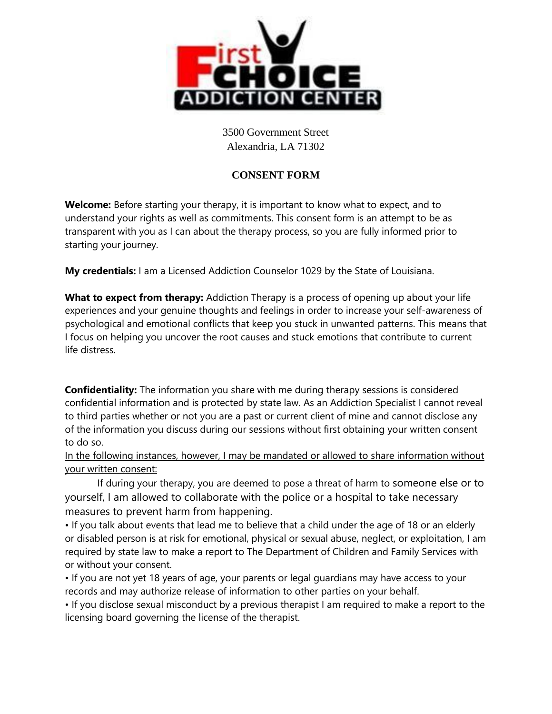

3500 Government Street Alexandria, LA 71302

## **CONSENT FORM**

**Welcome:** Before starting your therapy, it is important to know what to expect, and to understand your rights as well as commitments. This consent form is an attempt to be as transparent with you as I can about the therapy process, so you are fully informed prior to starting your journey.

**My credentials:** I am a Licensed Addiction Counselor 1029 by the State of Louisiana.

**What to expect from therapy:** Addiction Therapy is a process of opening up about your life experiences and your genuine thoughts and feelings in order to increase your self-awareness of psychological and emotional conflicts that keep you stuck in unwanted patterns. This means that I focus on helping you uncover the root causes and stuck emotions that contribute to current life distress.

**Confidentiality:** The information you share with me during therapy sessions is considered confidential information and is protected by state law. As an Addiction Specialist I cannot reveal to third parties whether or not you are a past or current client of mine and cannot disclose any of the information you discuss during our sessions without first obtaining your written consent to do so.

In the following instances, however, I may be mandated or allowed to share information without your written consent:

If during your therapy, you are deemed to pose a threat of harm to someone else or to yourself, I am allowed to collaborate with the police or a hospital to take necessary measures to prevent harm from happening.

• If you talk about events that lead me to believe that a child under the age of 18 or an elderly or disabled person is at risk for emotional, physical or sexual abuse, neglect, or exploitation, I am required by state law to make a report to The Department of Children and Family Services with or without your consent.

• If you are not yet 18 years of age, your parents or legal guardians may have access to your records and may authorize release of information to other parties on your behalf.

• If you disclose sexual misconduct by a previous therapist I am required to make a report to the licensing board governing the license of the therapist.